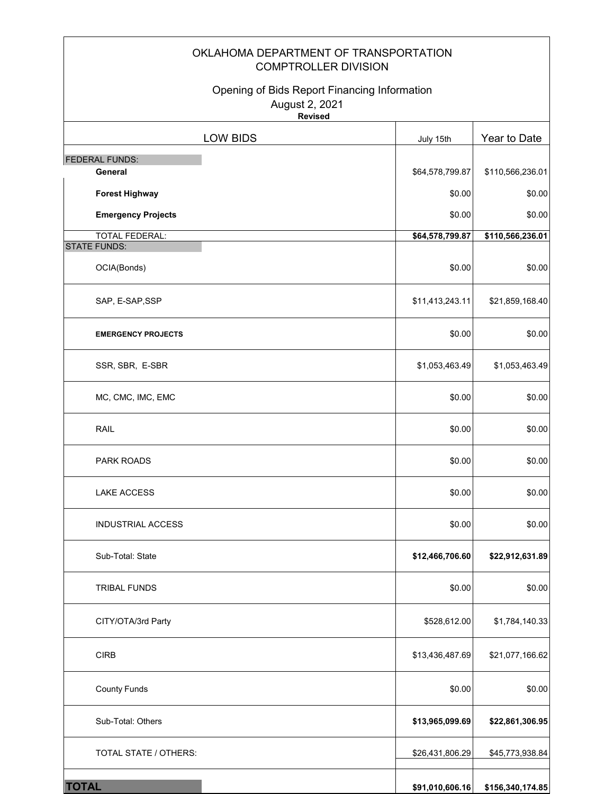### OKLAHOMA DEPARTMENT OF TRANSPORTATION COMPTROLLER DIVISION

### Opening of Bids Report Financing Information August 2, 2021

 $\mathbf{r}$ 

 $\overline{\mathbf{r}}$ 

**Revised**

| <b>LOW BIDS</b>           | July 15th       | Year to Date     |
|---------------------------|-----------------|------------------|
| <b>FEDERAL FUNDS:</b>     |                 |                  |
| General                   | \$64,578,799.87 | \$110,566,236.01 |
| <b>Forest Highway</b>     | \$0.00          | \$0.00           |
| <b>Emergency Projects</b> | \$0.00          | \$0.00           |
| <b>TOTAL FEDERAL:</b>     | \$64,578,799.87 | \$110,566,236.01 |
| <b>STATE FUNDS:</b>       |                 |                  |
| OCIA(Bonds)               | \$0.00          | \$0.00           |
| SAP, E-SAP, SSP           | \$11,413,243.11 | \$21,859,168.40  |
| <b>EMERGENCY PROJECTS</b> | \$0.00          | \$0.00           |
| SSR, SBR, E-SBR           | \$1,053,463.49  | \$1,053,463.49   |
| MC, CMC, IMC, EMC         | \$0.00          | \$0.00           |
| <b>RAIL</b>               | \$0.00          | \$0.00           |
| PARK ROADS                | \$0.00          | \$0.00           |
| <b>LAKE ACCESS</b>        | \$0.00          | \$0.00           |
| <b>INDUSTRIAL ACCESS</b>  | \$0.00          | \$0.00           |
| Sub-Total: State          | \$12,466,706.60 | \$22,912,631.89  |
| <b>TRIBAL FUNDS</b>       | \$0.00          | \$0.00           |
| CITY/OTA/3rd Party        | \$528,612.00    | \$1,784,140.33   |
| <b>CIRB</b>               | \$13,436,487.69 | \$21,077,166.62  |
| <b>County Funds</b>       | \$0.00          | \$0.00           |
| Sub-Total: Others         | \$13,965,099.69 | \$22,861,306.95  |
| TOTAL STATE / OTHERS:     | \$26,431,806.29 | \$45,773,938.84  |
| <b>TOTAL</b>              | \$91,010,606.16 | \$156,340,174.85 |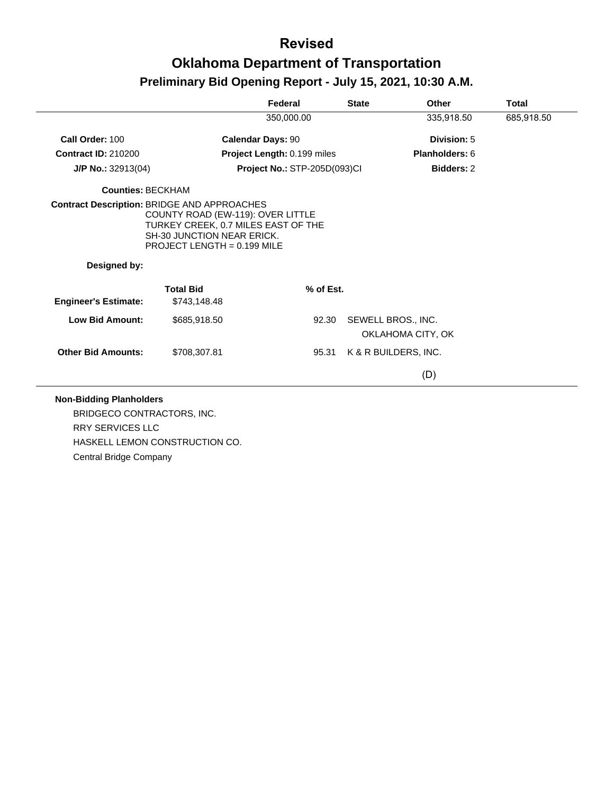|                                                    |                                                                                                                                                | Federal                      | <b>State</b> | Other                                   | <b>Total</b> |
|----------------------------------------------------|------------------------------------------------------------------------------------------------------------------------------------------------|------------------------------|--------------|-----------------------------------------|--------------|
|                                                    |                                                                                                                                                | 350,000.00                   |              | 335,918.50                              | 685,918.50   |
| Call Order: 100                                    |                                                                                                                                                | <b>Calendar Days: 90</b>     |              | Division: 5                             |              |
| <b>Contract ID: 210200</b>                         |                                                                                                                                                | Project Length: 0.199 miles  |              | <b>Planholders: 6</b>                   |              |
| J/P No.: 32913(04)                                 |                                                                                                                                                | Project No.: STP-205D(093)Cl |              | <b>Bidders: 2</b>                       |              |
| <b>Counties: BECKHAM</b>                           |                                                                                                                                                |                              |              |                                         |              |
| <b>Contract Description: BRIDGE AND APPROACHES</b> | COUNTY ROAD (EW-119): OVER LITTLE<br>TURKEY CREEK, 0.7 MILES EAST OF THE<br><b>SH-30 JUNCTION NEAR ERICK.</b><br>PROJECT LENGTH = $0.199$ MILE |                              |              |                                         |              |
| Designed by:                                       |                                                                                                                                                |                              |              |                                         |              |
| <b>Engineer's Estimate:</b>                        | <b>Total Bid</b><br>\$743,148.48                                                                                                               | % of Est.                    |              |                                         |              |
| <b>Low Bid Amount:</b>                             | \$685,918.50                                                                                                                                   | 92.30                        |              | SEWELL BROS., INC.<br>OKLAHOMA CITY, OK |              |
|                                                    |                                                                                                                                                |                              |              |                                         |              |
| <b>Other Bid Amounts:</b>                          | \$708,307.81                                                                                                                                   | 95.31                        |              | K & R BUILDERS, INC.                    |              |

BRIDGECO CONTRACTORS, INC. RRY SERVICES LLC HASKELL LEMON CONSTRUCTION CO. Central Bridge Company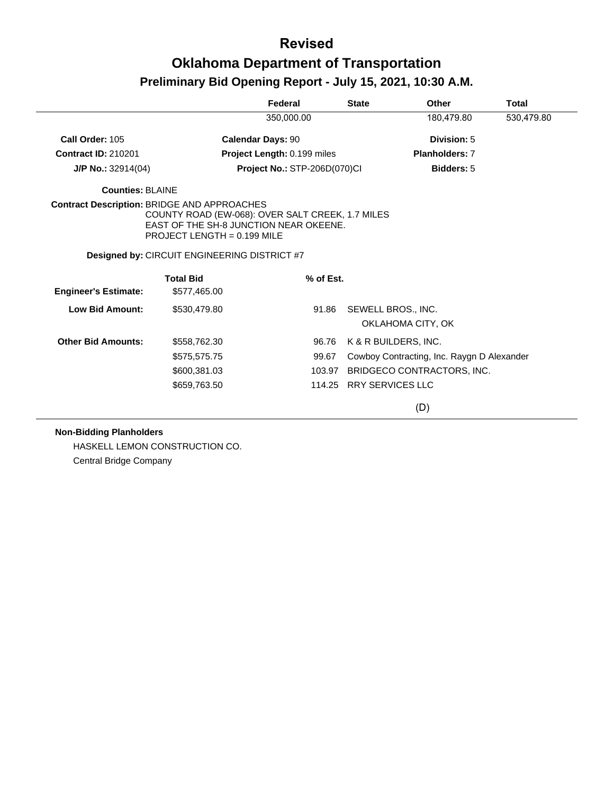|                                                    |                                                                                                                             | Federal                             | <b>State</b> | Other                                      | <b>Total</b> |
|----------------------------------------------------|-----------------------------------------------------------------------------------------------------------------------------|-------------------------------------|--------------|--------------------------------------------|--------------|
|                                                    |                                                                                                                             | 350,000.00                          |              | 180,479.80                                 | 530,479.80   |
| Call Order: 105                                    |                                                                                                                             | <b>Calendar Days: 90</b>            |              | Division: 5                                |              |
| <b>Contract ID: 210201</b>                         |                                                                                                                             | Project Length: 0.199 miles         |              | <b>Planholders: 7</b>                      |              |
| $J/P$ No.: 32914(04)                               |                                                                                                                             | <b>Project No.: STP-206D(070)CI</b> |              | Bidders: 5                                 |              |
| Counties: BLAINE                                   |                                                                                                                             |                                     |              |                                            |              |
| <b>Contract Description: BRIDGE AND APPROACHES</b> | COUNTY ROAD (EW-068): OVER SALT CREEK, 1.7 MILES<br>EAST OF THE SH-8 JUNCTION NEAR OKEENE.<br>PROJECT LENGTH = $0.199$ MILE |                                     |              |                                            |              |
|                                                    | <b>Designed by: CIRCUIT ENGINEERING DISTRICT #7</b>                                                                         |                                     |              |                                            |              |
| <b>Engineer's Estimate:</b>                        | <b>Total Bid</b><br>\$577,465.00                                                                                            |                                     | % of Est.    |                                            |              |
| Low Bid Amount:                                    | \$530,479.80                                                                                                                |                                     | 91.86        | SEWELL BROS., INC.<br>OKLAHOMA CITY, OK    |              |
| <b>Other Bid Amounts:</b>                          | \$558,762.30                                                                                                                |                                     | 96.76        | K & R BUILDERS, INC.                       |              |
|                                                    | \$575,575.75                                                                                                                |                                     | 99.67        | Cowboy Contracting, Inc. Raygn D Alexander |              |
|                                                    | \$600,381.03                                                                                                                |                                     | 103.97       | BRIDGECO CONTRACTORS, INC.                 |              |
|                                                    | \$659,763.50                                                                                                                |                                     |              | 114.25 RRY SERVICES LLC                    |              |
|                                                    |                                                                                                                             |                                     |              | (D)                                        |              |

#### **Non-Bidding Planholders**

HASKELL LEMON CONSTRUCTION CO. Central Bridge Company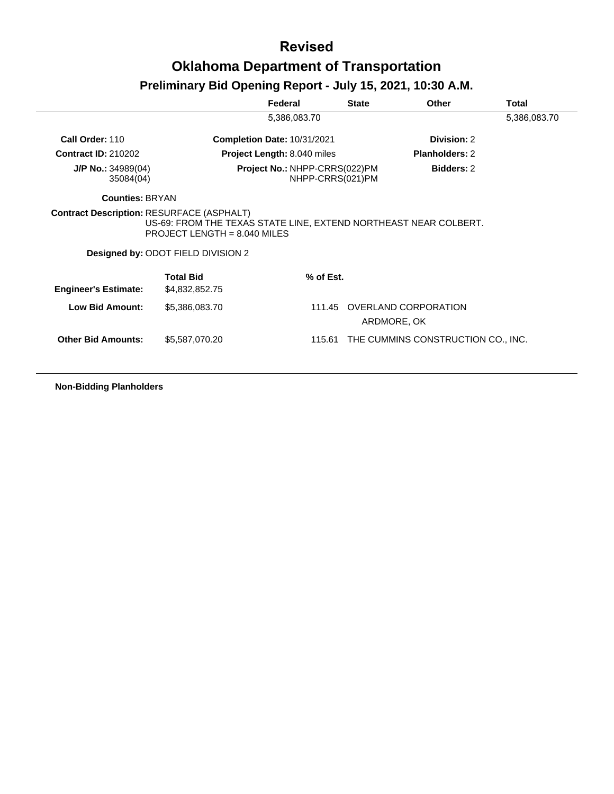# **Revised Oklahoma Department of Transportation**

### **Preliminary Bid Opening Report - July 15, 2021, 10:30 A.M.**

|                                                  |                                                                                                                                          | Federal                            | <b>State</b>     | Other                               | <b>Total</b> |
|--------------------------------------------------|------------------------------------------------------------------------------------------------------------------------------------------|------------------------------------|------------------|-------------------------------------|--------------|
|                                                  |                                                                                                                                          | 5,386,083.70                       |                  |                                     | 5,386,083.70 |
| Call Order: 110                                  |                                                                                                                                          | <b>Completion Date: 10/31/2021</b> |                  | Division: 2                         |              |
| <b>Contract ID: 210202</b>                       |                                                                                                                                          | <b>Project Length: 8.040 miles</b> |                  | Planholders: 2                      |              |
| $J/P$ No.: 34989(04)<br>35084(04)                |                                                                                                                                          | Project No.: NHPP-CRRS(022)PM      | NHPP-CRRS(021)PM | Bidders: 2                          |              |
| <b>Counties: BRYAN</b>                           |                                                                                                                                          |                                    |                  |                                     |              |
| <b>Contract Description: RESURFACE (ASPHALT)</b> | US-69: FROM THE TEXAS STATE LINE, EXTEND NORTHEAST NEAR COLBERT.<br>PROJECT LENGTH = $8.040$ MILES<br>Designed by: ODOT FIELD DIVISION 2 |                                    |                  |                                     |              |
| <b>Engineer's Estimate:</b>                      | <b>Total Bid</b><br>\$4,832,852.75                                                                                                       |                                    | % of Est.        |                                     |              |
| Low Bid Amount:                                  | \$5,386,083.70                                                                                                                           |                                    | 111.45           | OVERLAND CORPORATION<br>ARDMORE, OK |              |
| <b>Other Bid Amounts:</b>                        | \$5,587,070.20                                                                                                                           |                                    | 115.61           | THE CUMMINS CONSTRUCTION CO., INC.  |              |

**Non-Bidding Planholders**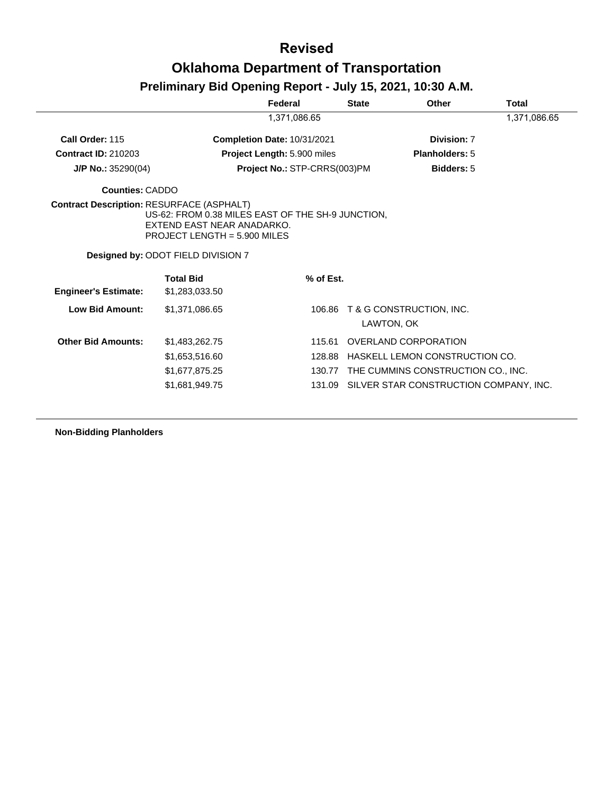## **Revised Oklahoma Department of Transportation**

### **Preliminary Bid Opening Report - July 15, 2021, 10:30 A.M.**

|                                                  |                                                                                                                   | Federal                            | <b>State</b> | Other                                     | Total        |
|--------------------------------------------------|-------------------------------------------------------------------------------------------------------------------|------------------------------------|--------------|-------------------------------------------|--------------|
|                                                  |                                                                                                                   | 1,371,086.65                       |              |                                           | 1,371,086.65 |
| Call Order: 115                                  |                                                                                                                   | <b>Completion Date: 10/31/2021</b> |              | Division: 7                               |              |
| <b>Contract ID: 210203</b>                       |                                                                                                                   | Project Length: 5.900 miles        |              | <b>Planholders: 5</b>                     |              |
| J/P No.: 35290(04)                               |                                                                                                                   | Project No.: STP-CRRS(003)PM       |              | <b>Bidders: 5</b>                         |              |
| <b>Counties: CADDO</b>                           |                                                                                                                   |                                    |              |                                           |              |
| <b>Contract Description: RESURFACE (ASPHALT)</b> | US-62: FROM 0.38 MILES EAST OF THE SH-9 JUNCTION,<br>EXTEND EAST NEAR ANADARKO.<br>PROJECT LENGTH = $5.900$ MILES |                                    |              |                                           |              |
|                                                  | Designed by: ODOT FIELD DIVISION 7                                                                                |                                    |              |                                           |              |
| <b>Engineer's Estimate:</b>                      | <b>Total Bid</b><br>\$1,283,033.50                                                                                | % of Est.                          |              |                                           |              |
| <b>Low Bid Amount:</b>                           | \$1.371.086.65                                                                                                    | 106.86                             |              | T & G CONSTRUCTION, INC.<br>LAWTON, OK    |              |
| <b>Other Bid Amounts:</b>                        | \$1,483,262.75                                                                                                    | 115.61                             |              | <b>OVERLAND CORPORATION</b>               |              |
|                                                  | \$1,653,516.60                                                                                                    | 128.88                             |              | HASKELL LEMON CONSTRUCTION CO.            |              |
|                                                  | \$1,677,875.25                                                                                                    |                                    |              | 130.77 THE CUMMINS CONSTRUCTION CO., INC. |              |
|                                                  |                                                                                                                   |                                    |              |                                           |              |

**Non-Bidding Planholders**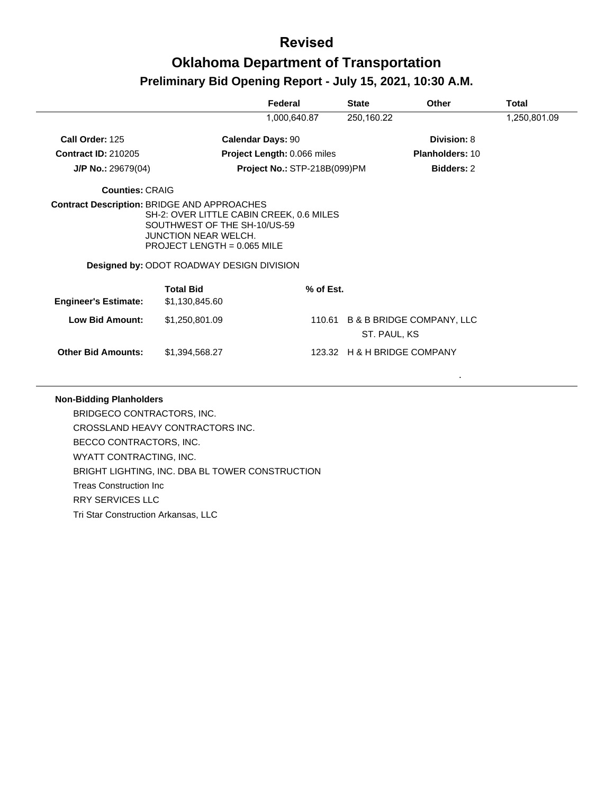|                             |                                                                                                                                                                                       | Federal                      | <b>State</b>                | Other                            | <b>Total</b> |
|-----------------------------|---------------------------------------------------------------------------------------------------------------------------------------------------------------------------------------|------------------------------|-----------------------------|----------------------------------|--------------|
|                             |                                                                                                                                                                                       | 1,000,640.87                 | 250,160.22                  |                                  | 1,250,801.09 |
| Call Order: 125             |                                                                                                                                                                                       | <b>Calendar Days: 90</b>     |                             | Division: 8                      |              |
| <b>Contract ID: 210205</b>  |                                                                                                                                                                                       | Project Length: 0.066 miles  |                             | <b>Planholders: 10</b>           |              |
| $J/P$ No.: 29679(04)        |                                                                                                                                                                                       | Project No.: STP-218B(099)PM |                             | <b>Bidders: 2</b>                |              |
| Counties: CRAIG             |                                                                                                                                                                                       |                              |                             |                                  |              |
|                             | SH-2: OVER LITTLE CABIN CREEK, 0.6 MILES<br>SOUTHWEST OF THE SH-10/US-59<br><b>JUNCTION NEAR WELCH.</b><br>PROJECT LENGTH = $0.065$ MILE<br>Designed by: ODOT ROADWAY DESIGN DIVISION |                              |                             |                                  |              |
|                             | <b>Total Bid</b>                                                                                                                                                                      | % of Est.                    |                             |                                  |              |
| <b>Engineer's Estimate:</b> | \$1,130,845.60                                                                                                                                                                        |                              |                             |                                  |              |
| <b>Low Bid Amount:</b>      | \$1,250,801.09                                                                                                                                                                        |                              | ST. PAUL, KS                | 110.61 B & B BRIDGE COMPANY, LLC |              |
| <b>Other Bid Amounts:</b>   | \$1,394,568.27                                                                                                                                                                        |                              | 123.32 H & H BRIDGE COMPANY |                                  |              |
|                             |                                                                                                                                                                                       |                              |                             |                                  |              |

#### **Non-Bidding Planholders**

BRIDGECO CONTRACTORS, INC. CROSSLAND HEAVY CONTRACTORS INC. BECCO CONTRACTORS, INC. WYATT CONTRACTING, INC. BRIGHT LIGHTING, INC. DBA BL TOWER CONSTRUCTION Treas Construction Inc RRY SERVICES LLC Tri Star Construction Arkansas, LLC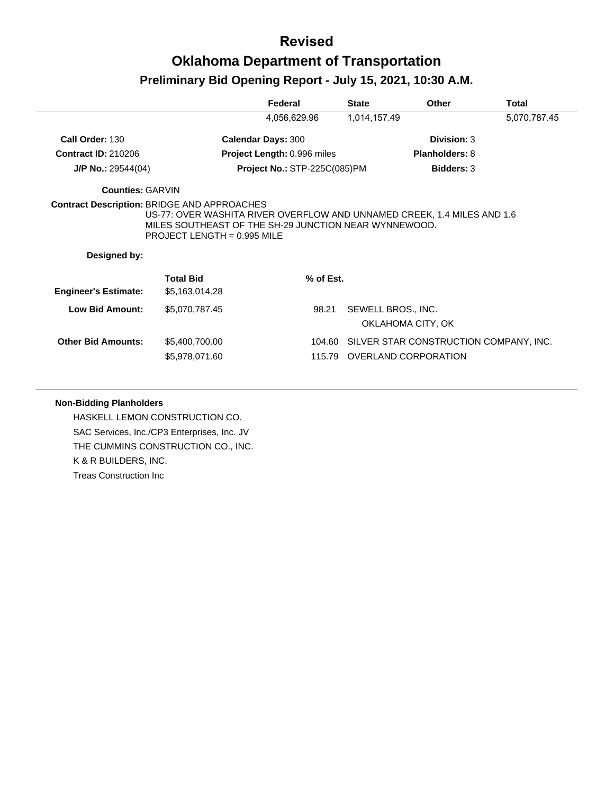|                             |                                                                                                                                                                                                                         | Federal                      | <b>State</b>                            | Other                                  | <b>Total</b> |
|-----------------------------|-------------------------------------------------------------------------------------------------------------------------------------------------------------------------------------------------------------------------|------------------------------|-----------------------------------------|----------------------------------------|--------------|
|                             |                                                                                                                                                                                                                         | 4,056,629.96                 | 1,014,157.49                            |                                        | 5,070,787.45 |
| Call Order: 130             | <b>Calendar Days: 300</b>                                                                                                                                                                                               |                              |                                         | Division: 3                            |              |
| <b>Contract ID: 210206</b>  |                                                                                                                                                                                                                         | Project Length: 0.996 miles  |                                         | <b>Planholders: 8</b>                  |              |
| $J/P$ No.: 29544(04)        |                                                                                                                                                                                                                         | Project No.: STP-225C(085)PM |                                         | <b>Bidders: 3</b>                      |              |
| <b>Counties: GARVIN</b>     |                                                                                                                                                                                                                         |                              |                                         |                                        |              |
| Designed by:                | <b>Contract Description: BRIDGE AND APPROACHES</b><br>US-77: OVER WASHITA RIVER OVERFLOW AND UNNAMED CREEK, 1.4 MILES AND 1.6<br>MILES SOUTHEAST OF THE SH-29 JUNCTION NEAR WYNNEWOOD.<br>PROJECT LENGTH = $0.995$ MILE |                              |                                         |                                        |              |
| <b>Engineer's Estimate:</b> | <b>Total Bid</b><br>\$5,163,014.28                                                                                                                                                                                      | % of Est.                    |                                         |                                        |              |
| <b>Low Bid Amount:</b>      | \$5,070,787.45                                                                                                                                                                                                          | 98.21                        | SEWELL BROS., INC.<br>OKLAHOMA CITY, OK |                                        |              |
| <b>Other Bid Amounts:</b>   | \$5,400,700.00<br>\$5,978,071.60                                                                                                                                                                                        | 104.60<br>115.79             | OVERLAND CORPORATION                    | SILVER STAR CONSTRUCTION COMPANY, INC. |              |

#### **Non-Bidding Planholders**

HASKELL LEMON CONSTRUCTION CO. SAC Services, Inc./CP3 Enterprises, Inc. JV THE CUMMINS CONSTRUCTION CO., INC. K & R BUILDERS, INC. Treas Construction Inc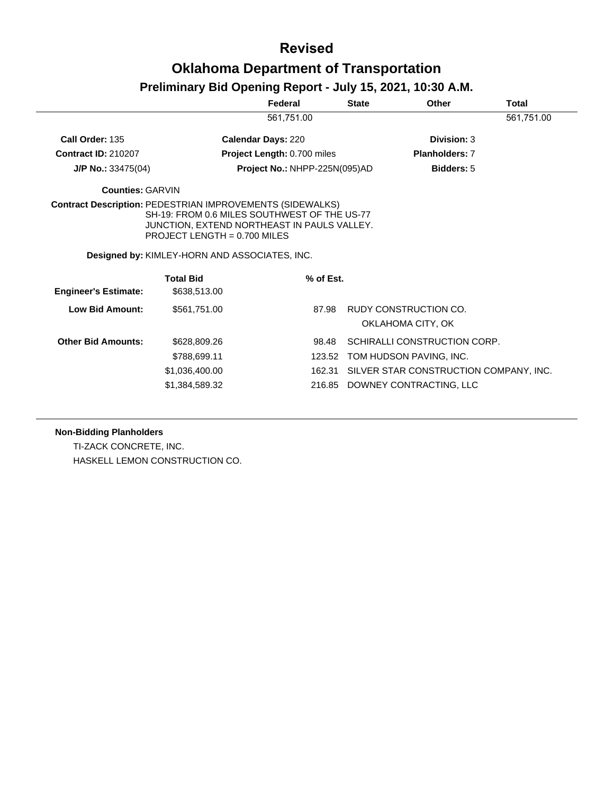# **Revised Oklahoma Department of Transportation**

### **Preliminary Bid Opening Report - July 15, 2021, 10:30 A.M.**

| 561,751.00<br>Call Order: 135<br><b>Calendar Days: 220</b><br>Division: 3                                                                                                                                                                          | 561,751.00 |
|----------------------------------------------------------------------------------------------------------------------------------------------------------------------------------------------------------------------------------------------------|------------|
|                                                                                                                                                                                                                                                    |            |
|                                                                                                                                                                                                                                                    |            |
| <b>Contract ID: 210207</b><br>Project Length: 0.700 miles<br><b>Planholders: 7</b>                                                                                                                                                                 |            |
| Project No.: NHPP-225N(095)AD<br>Bidders: 5<br>$J/P$ No.: 33475(04)                                                                                                                                                                                |            |
| <b>Counties: GARVIN</b>                                                                                                                                                                                                                            |            |
| <b>Contract Description: PEDESTRIAN IMPROVEMENTS (SIDEWALKS)</b><br>SH-19: FROM 0.6 MILES SOUTHWEST OF THE US-77<br>JUNCTION, EXTEND NORTHEAST IN PAULS VALLEY.<br>PROJECT LENGTH = $0.700$ MILES<br>Designed by: KIMLEY-HORN AND ASSOCIATES, INC. |            |
| <b>Total Bid</b><br>% of Est.<br><b>Engineer's Estimate:</b><br>\$638,513.00                                                                                                                                                                       |            |
| Low Bid Amount:<br>RUDY CONSTRUCTION CO.<br>\$561.751.00<br>87.98<br>OKLAHOMA CITY, OK                                                                                                                                                             |            |
| SCHIRALLI CONSTRUCTION CORP.<br><b>Other Bid Amounts:</b><br>\$628,809.26<br>98.48                                                                                                                                                                 |            |
| TOM HUDSON PAVING, INC.<br>\$788,699.11<br>123.52                                                                                                                                                                                                  |            |
| SILVER STAR CONSTRUCTION COMPANY, INC.<br>\$1,036,400.00<br>162.31                                                                                                                                                                                 |            |
| \$1,384,589.32<br>DOWNEY CONTRACTING, LLC<br>216.85                                                                                                                                                                                                |            |

#### **Non-Bidding Planholders**

TI-ZACK CONCRETE, INC. HASKELL LEMON CONSTRUCTION CO.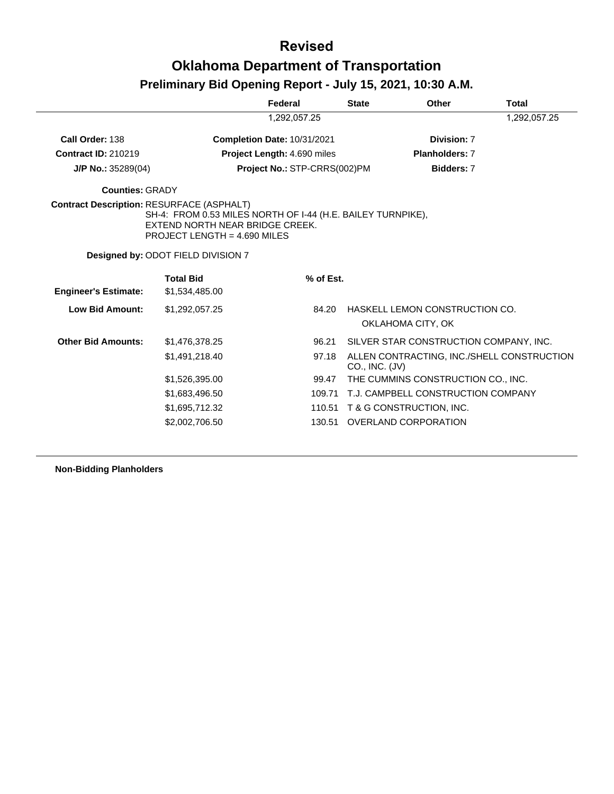|                                                  |                                                                                                                                | Federal                            | <b>State</b>   | Other                                               | <b>Total</b> |
|--------------------------------------------------|--------------------------------------------------------------------------------------------------------------------------------|------------------------------------|----------------|-----------------------------------------------------|--------------|
|                                                  |                                                                                                                                | 1,292,057.25                       |                |                                                     | 1,292,057.25 |
| Call Order: 138                                  |                                                                                                                                | <b>Completion Date: 10/31/2021</b> |                | Division: 7                                         |              |
| <b>Contract ID: 210219</b>                       |                                                                                                                                | <b>Project Length: 4.690 miles</b> |                | <b>Planholders: 7</b>                               |              |
| $J/P$ No.: 35289(04)                             |                                                                                                                                | Project No.: STP-CRRS(002)PM       |                | Bidders: 7                                          |              |
| <b>Counties: GRADY</b>                           |                                                                                                                                |                                    |                |                                                     |              |
| <b>Contract Description: RESURFACE (ASPHALT)</b> | SH-4: FROM 0.53 MILES NORTH OF I-44 (H.E. BAILEY TURNPIKE).<br>EXTEND NORTH NEAR BRIDGE CREEK.<br>PROJECT LENGTH = 4.690 MILES |                                    |                |                                                     |              |
|                                                  | Designed by: ODOT FIELD DIVISION 7                                                                                             |                                    |                |                                                     |              |
|                                                  | <b>Total Bid</b>                                                                                                               | % of Est.                          |                |                                                     |              |
| <b>Engineer's Estimate:</b>                      | \$1,534,485.00                                                                                                                 |                                    |                |                                                     |              |
|                                                  |                                                                                                                                |                                    |                |                                                     |              |
| <b>Low Bid Amount:</b>                           | \$1,292,057.25                                                                                                                 | 84.20                              |                | HASKELL LEMON CONSTRUCTION CO.<br>OKLAHOMA CITY, OK |              |
| <b>Other Bid Amounts:</b>                        | \$1,476,378.25                                                                                                                 | 96.21                              |                | SILVER STAR CONSTRUCTION COMPANY, INC.              |              |
|                                                  | \$1,491,218.40                                                                                                                 | 97.18                              | CO., INC. (JV) | ALLEN CONTRACTING, INC./SHELL CONSTRUCTION          |              |
|                                                  | \$1,526,395.00                                                                                                                 | 99.47                              |                | THE CUMMINS CONSTRUCTION CO., INC.                  |              |
|                                                  | \$1,683,496.50                                                                                                                 | 109.71                             |                | T.J. CAMPBELL CONSTRUCTION COMPANY                  |              |
|                                                  | \$1,695,712.32                                                                                                                 | 110.51                             |                | T & G CONSTRUCTION, INC.                            |              |

**Non-Bidding Planholders**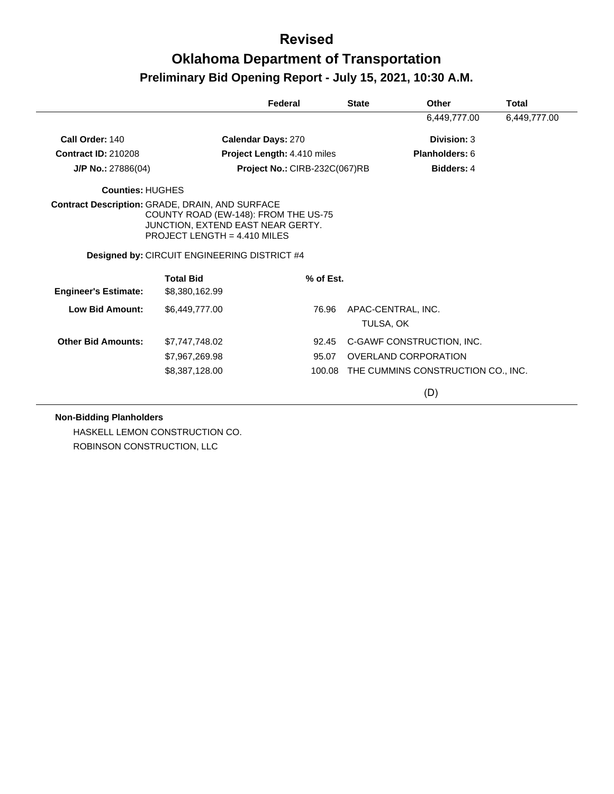|                             |                                                                                                                                                                | Federal                       | <b>State</b> | Other                                     | Total        |
|-----------------------------|----------------------------------------------------------------------------------------------------------------------------------------------------------------|-------------------------------|--------------|-------------------------------------------|--------------|
|                             |                                                                                                                                                                |                               |              | 6,449,777.00                              | 6,449,777.00 |
| Call Order: 140             | <b>Calendar Days: 270</b>                                                                                                                                      |                               |              | Division: 3                               |              |
| <b>Contract ID: 210208</b>  |                                                                                                                                                                | Project Length: 4.410 miles   |              | <b>Planholders: 6</b>                     |              |
| J/P No.: 27886(04)          |                                                                                                                                                                | Project No.: CIRB-232C(067)RB |              | <b>Bidders: 4</b>                         |              |
| <b>Counties: HUGHES</b>     |                                                                                                                                                                |                               |              |                                           |              |
|                             | Contract Description: GRADE, DRAIN, AND SURFACE<br>COUNTY ROAD (EW-148): FROM THE US-75<br>JUNCTION, EXTEND EAST NEAR GERTY.<br>PROJECT LENGTH = $4.410$ MILES |                               |              |                                           |              |
|                             | <b>Designed by: CIRCUIT ENGINEERING DISTRICT #4</b>                                                                                                            |                               |              |                                           |              |
| <b>Engineer's Estimate:</b> | <b>Total Bid</b><br>\$8,380,162.99                                                                                                                             | % of Est.                     |              |                                           |              |
| Low Bid Amount:             | \$6,449,777.00                                                                                                                                                 | 76.96                         |              | APAC-CENTRAL, INC.<br>TULSA, OK           |              |
| <b>Other Bid Amounts:</b>   | \$7,747,748.02                                                                                                                                                 | 92.45                         |              | C-GAWF CONSTRUCTION, INC.                 |              |
|                             | \$7,967,269.98                                                                                                                                                 | 95.07                         |              | OVERLAND CORPORATION                      |              |
|                             | \$8,387,128.00                                                                                                                                                 |                               |              | 100.08 THE CUMMINS CONSTRUCTION CO., INC. |              |
|                             |                                                                                                                                                                |                               |              | (D)                                       |              |

**Non-Bidding Planholders**

HASKELL LEMON CONSTRUCTION CO. ROBINSON CONSTRUCTION, LLC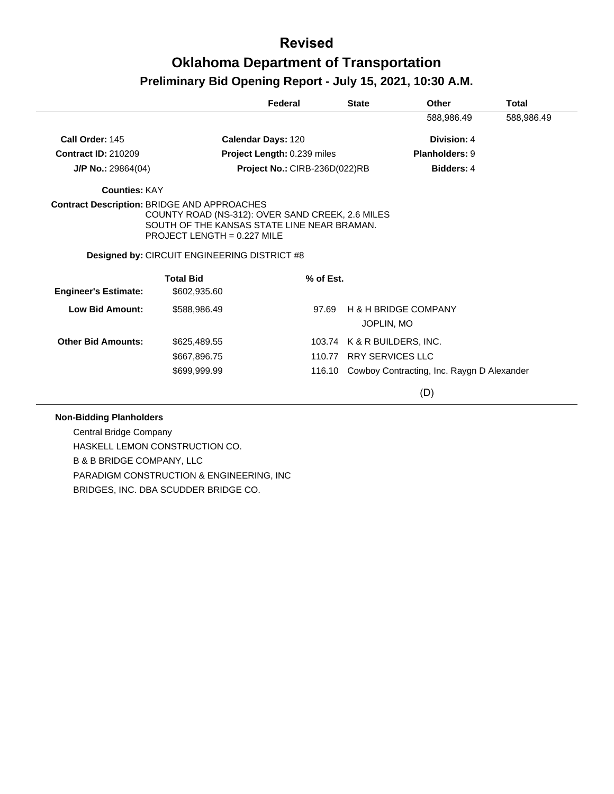|                                                    |                                                                                                                                                                                              | Federal                       | <b>State</b> | Other                                         | <b>Total</b> |
|----------------------------------------------------|----------------------------------------------------------------------------------------------------------------------------------------------------------------------------------------------|-------------------------------|--------------|-----------------------------------------------|--------------|
|                                                    |                                                                                                                                                                                              |                               |              | 588,986.49                                    | 588,986.49   |
| Call Order: 145                                    | Calendar Days: 120                                                                                                                                                                           |                               |              | Division: 4                                   |              |
| <b>Contract ID: 210209</b>                         |                                                                                                                                                                                              | Project Length: 0.239 miles   |              | Planholders: 9                                |              |
| $J/P$ No.: 29864(04)                               |                                                                                                                                                                                              | Project No.: CIRB-236D(022)RB |              | <b>Bidders: 4</b>                             |              |
| <b>Counties: KAY</b>                               |                                                                                                                                                                                              |                               |              |                                               |              |
| <b>Contract Description: BRIDGE AND APPROACHES</b> | COUNTY ROAD (NS-312): OVER SAND CREEK, 2.6 MILES<br>SOUTH OF THE KANSAS STATE LINE NEAR BRAMAN.<br><b>PROJECT LENGTH = 0.227 MILE</b><br><b>Designed by: CIRCUIT ENGINEERING DISTRICT #8</b> |                               |              |                                               |              |
|                                                    |                                                                                                                                                                                              |                               |              |                                               |              |
| <b>Engineer's Estimate:</b>                        | <b>Total Bid</b><br>\$602,935.60                                                                                                                                                             | % of Est.                     |              |                                               |              |
| Low Bid Amount:                                    | \$588,986.49                                                                                                                                                                                 | 97.69                         |              | <b>H &amp; H BRIDGE COMPANY</b><br>JOPLIN, MO |              |
| <b>Other Bid Amounts:</b>                          | \$625,489.55                                                                                                                                                                                 |                               |              | 103.74 K & R BUILDERS, INC.                   |              |
|                                                    | \$667,896.75                                                                                                                                                                                 | 110.77                        |              | <b>RRY SERVICES LLC</b>                       |              |
|                                                    | \$699,999.99                                                                                                                                                                                 | 116.10                        |              | Cowboy Contracting, Inc. Raygn D Alexander    |              |
|                                                    |                                                                                                                                                                                              |                               |              | (D)                                           |              |

#### **Non-Bidding Planholders**

Central Bridge Company HASKELL LEMON CONSTRUCTION CO. B & B BRIDGE COMPANY, LLC PARADIGM CONSTRUCTION & ENGINEERING, INC BRIDGES, INC. DBA SCUDDER BRIDGE CO.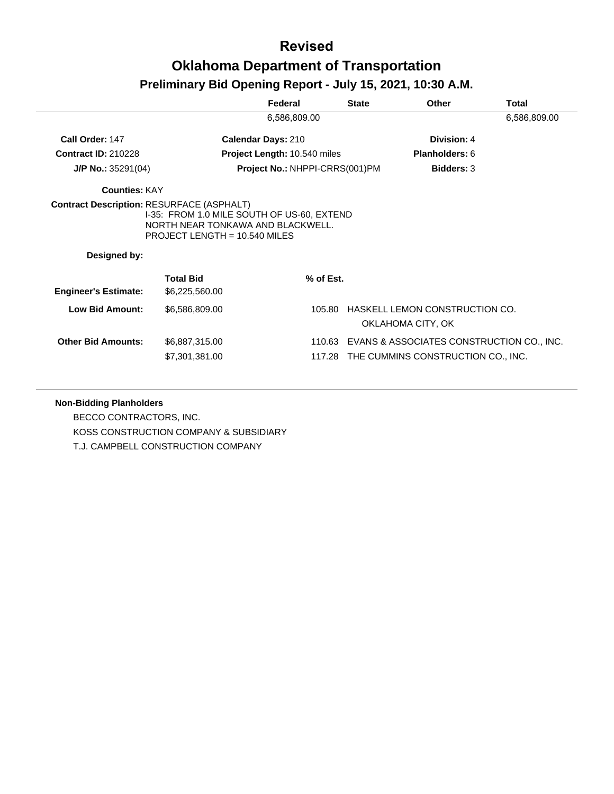|                             |                                                                                                                    | Federal                             | <b>State</b> | Other                                               | Total        |
|-----------------------------|--------------------------------------------------------------------------------------------------------------------|-------------------------------------|--------------|-----------------------------------------------------|--------------|
|                             |                                                                                                                    | 6,586,809.00                        |              |                                                     | 6,586,809.00 |
| Call Order: 147             |                                                                                                                    | <b>Calendar Days: 210</b>           |              | Division: 4                                         |              |
| <b>Contract ID: 210228</b>  |                                                                                                                    | <b>Project Length: 10.540 miles</b> |              | <b>Planholders: 6</b>                               |              |
| $J/P$ No.: 35291(04)        |                                                                                                                    | Project No.: NHPPI-CRRS(001)PM      |              | <b>Bidders: 3</b>                                   |              |
| <b>Counties: KAY</b>        |                                                                                                                    |                                     |              |                                                     |              |
| Designed by:                | I-35: FROM 1.0 MILE SOUTH OF US-60, EXTEND<br>NORTH NEAR TONKAWA AND BLACKWELL.<br>PROJECT LENGTH = $10.540$ MILES |                                     |              |                                                     |              |
|                             |                                                                                                                    |                                     |              |                                                     |              |
| <b>Engineer's Estimate:</b> | <b>Total Bid</b><br>\$6,225,560.00                                                                                 | % of Est.                           |              |                                                     |              |
| <b>Low Bid Amount:</b>      | \$6,586,809.00                                                                                                     | 105.80                              |              | HASKELL LEMON CONSTRUCTION CO.<br>OKLAHOMA CITY, OK |              |

#### **Non-Bidding Planholders**

BECCO CONTRACTORS, INC. KOSS CONSTRUCTION COMPANY & SUBSIDIARY T.J. CAMPBELL CONSTRUCTION COMPANY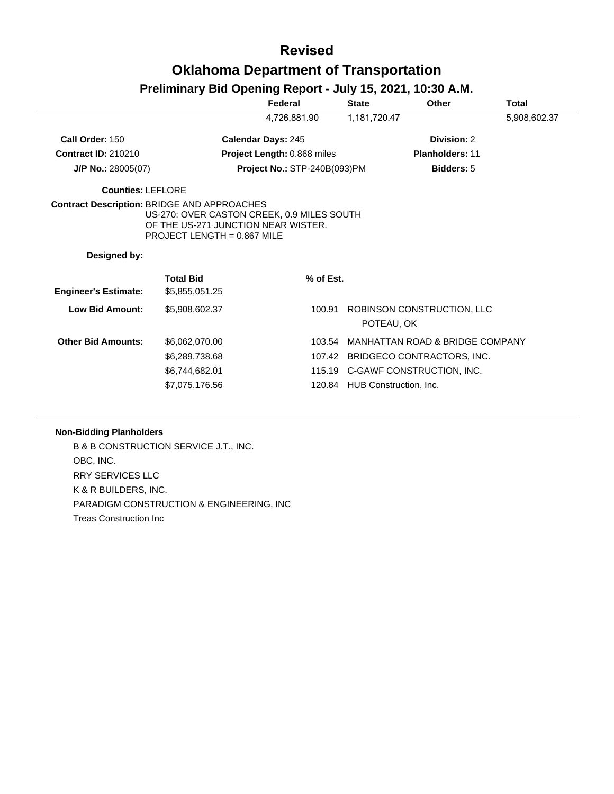### **Revised Oklahoma Department of Transportation**

### **Preliminary Bid Opening Report - July 15, 2021, 10:30 A.M.**

|                             |                                                                                                                    | Federal                      | <b>State</b>                  | <b>Other</b>                             | Total        |
|-----------------------------|--------------------------------------------------------------------------------------------------------------------|------------------------------|-------------------------------|------------------------------------------|--------------|
|                             |                                                                                                                    | 4,726,881.90                 | 1,181,720.47                  |                                          | 5,908,602.37 |
| Call Order: 150             |                                                                                                                    | <b>Calendar Days: 245</b>    |                               | Division: 2                              |              |
| <b>Contract ID: 210210</b>  |                                                                                                                    | Project Length: 0.868 miles  |                               | <b>Planholders: 11</b>                   |              |
| $J/P$ No.: 28005(07)        |                                                                                                                    | Project No.: STP-240B(093)PM |                               | <b>Bidders: 5</b>                        |              |
| <b>Counties: LEFLORE</b>    |                                                                                                                    |                              |                               |                                          |              |
| Designed by:                | US-270: OVER CASTON CREEK, 0.9 MILES SOUTH<br>OF THE US-271 JUNCTION NEAR WISTER.<br>PROJECT LENGTH = $0.867$ MILE |                              |                               |                                          |              |
| <b>Engineer's Estimate:</b> | <b>Total Bid</b><br>\$5,855,051.25                                                                                 | % of Est.                    |                               |                                          |              |
| <b>Low Bid Amount:</b>      | \$5,908,602.37                                                                                                     | 100.91                       |                               | ROBINSON CONSTRUCTION, LLC<br>POTEAU, OK |              |
| <b>Other Bid Amounts:</b>   | \$6,062,070.00                                                                                                     | 103.54                       |                               | MANHATTAN ROAD & BRIDGE COMPANY          |              |
|                             | \$6,289,738.68                                                                                                     | 107.42                       |                               | BRIDGECO CONTRACTORS, INC.               |              |
|                             | \$6,744,682.01                                                                                                     |                              |                               | 115.19 C-GAWF CONSTRUCTION, INC.         |              |
|                             | \$7,075,176.56                                                                                                     |                              | 120.84 HUB Construction, Inc. |                                          |              |

### **Non-Bidding Planholders**

B & B CONSTRUCTION SERVICE J.T., INC. OBC, INC. RRY SERVICES LLC K & R BUILDERS, INC. PARADIGM CONSTRUCTION & ENGINEERING, INC Treas Construction Inc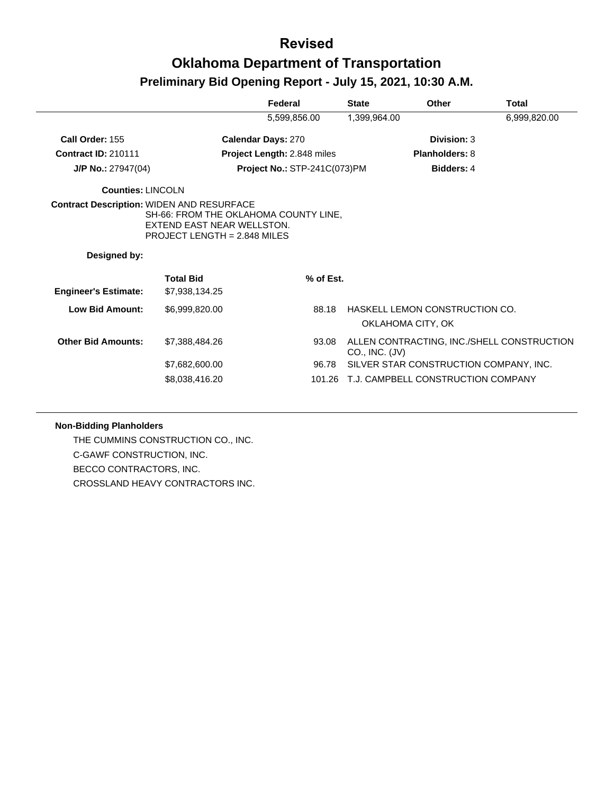|                                                  |                                                                                                       | Federal                             | <b>State</b>   | Other                                               | <b>Total</b> |
|--------------------------------------------------|-------------------------------------------------------------------------------------------------------|-------------------------------------|----------------|-----------------------------------------------------|--------------|
|                                                  |                                                                                                       | 5,599,856.00                        | 1,399,964.00   |                                                     | 6,999,820.00 |
| Call Order: 155                                  |                                                                                                       | <b>Calendar Days: 270</b>           |                | Division: 3                                         |              |
| <b>Contract ID: 210111</b>                       |                                                                                                       | <b>Project Length: 2.848 miles</b>  |                | <b>Planholders: 8</b>                               |              |
| J/P No.: 27947(04)                               |                                                                                                       | <b>Project No.: STP-241C(073)PM</b> |                | Bidders: 4                                          |              |
| <b>Counties: LINCOLN</b>                         |                                                                                                       |                                     |                |                                                     |              |
| <b>Contract Description: WIDEN AND RESURFACE</b> | SH-66: FROM THE OKLAHOMA COUNTY LINE,<br>EXTEND EAST NEAR WELLSTON.<br>PROJECT LENGTH = $2.848$ MILES |                                     |                |                                                     |              |
| Designed by:                                     |                                                                                                       |                                     |                |                                                     |              |
| <b>Engineer's Estimate:</b>                      | <b>Total Bid</b><br>\$7,938,134.25                                                                    | % of Est.                           |                |                                                     |              |
| <b>Low Bid Amount:</b>                           | \$6,999,820.00                                                                                        | 88.18                               |                | HASKELL LEMON CONSTRUCTION CO.<br>OKLAHOMA CITY, OK |              |
| <b>Other Bid Amounts:</b>                        | \$7,388,484.26                                                                                        | 93.08                               | CO., INC. (JV) | ALLEN CONTRACTING, INC./SHELL CONSTRUCTION          |              |
|                                                  | \$7,682,600.00                                                                                        | 96.78                               |                | SILVER STAR CONSTRUCTION COMPANY, INC.              |              |
|                                                  | \$8,038,416.20                                                                                        |                                     |                | 101.26 T.J. CAMPBELL CONSTRUCTION COMPANY           |              |

#### **Non-Bidding Planholders**

THE CUMMINS CONSTRUCTION CO., INC. C-GAWF CONSTRUCTION, INC. BECCO CONTRACTORS, INC. CROSSLAND HEAVY CONTRACTORS INC.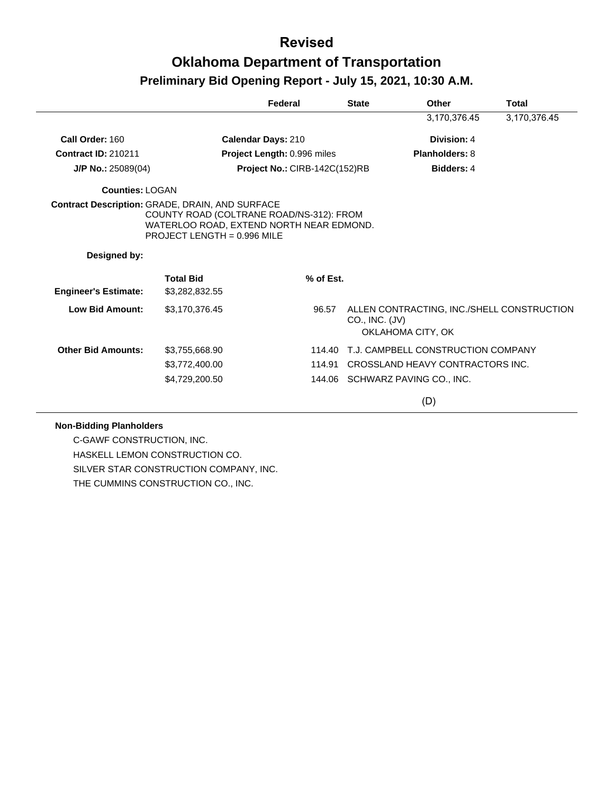|                                                 |                                                                                                                       | Federal                       | <b>State</b> | Other                                                                             | <b>Total</b> |
|-------------------------------------------------|-----------------------------------------------------------------------------------------------------------------------|-------------------------------|--------------|-----------------------------------------------------------------------------------|--------------|
|                                                 |                                                                                                                       |                               |              | 3,170,376.45                                                                      | 3,170,376.45 |
| Call Order: 160                                 |                                                                                                                       | Calendar Days: 210            |              | Division: 4                                                                       |              |
| <b>Contract ID: 210211</b>                      |                                                                                                                       | Project Length: 0.996 miles   |              | Planholders: 8                                                                    |              |
| $J/P$ No.: 25089(04)                            |                                                                                                                       | Project No.: CIRB-142C(152)RB |              | Bidders: 4                                                                        |              |
| <b>Counties: LOGAN</b>                          |                                                                                                                       |                               |              |                                                                                   |              |
| Contract Description: GRADE, DRAIN, AND SURFACE | COUNTY ROAD (COLTRANE ROAD/NS-312): FROM<br>WATERLOO ROAD. EXTEND NORTH NEAR EDMOND.<br>PROJECT LENGTH = $0.996$ MILE |                               |              |                                                                                   |              |
| Designed by:                                    |                                                                                                                       |                               |              |                                                                                   |              |
| <b>Engineer's Estimate:</b>                     | <b>Total Bid</b><br>\$3,282,832.55                                                                                    | % of Est.                     |              |                                                                                   |              |
| <b>Low Bid Amount:</b>                          | \$3,170,376.45                                                                                                        | 96.57                         |              | ALLEN CONTRACTING, INC./SHELL CONSTRUCTION<br>CO., INC. (JV)<br>OKLAHOMA CITY, OK |              |
| <b>Other Bid Amounts:</b>                       | \$3,755,668.90                                                                                                        | 114.40                        |              | T.J. CAMPBELL CONSTRUCTION COMPANY                                                |              |
|                                                 | \$3,772,400.00                                                                                                        | 114.91                        |              | CROSSLAND HEAVY CONTRACTORS INC.                                                  |              |
|                                                 | \$4,729,200.50                                                                                                        |                               |              | 144.06 SCHWARZ PAVING CO., INC.                                                   |              |
|                                                 |                                                                                                                       |                               |              | (D)                                                                               |              |

#### **Non-Bidding Planholders**

C-GAWF CONSTRUCTION, INC. HASKELL LEMON CONSTRUCTION CO. SILVER STAR CONSTRUCTION COMPANY, INC. THE CUMMINS CONSTRUCTION CO., INC.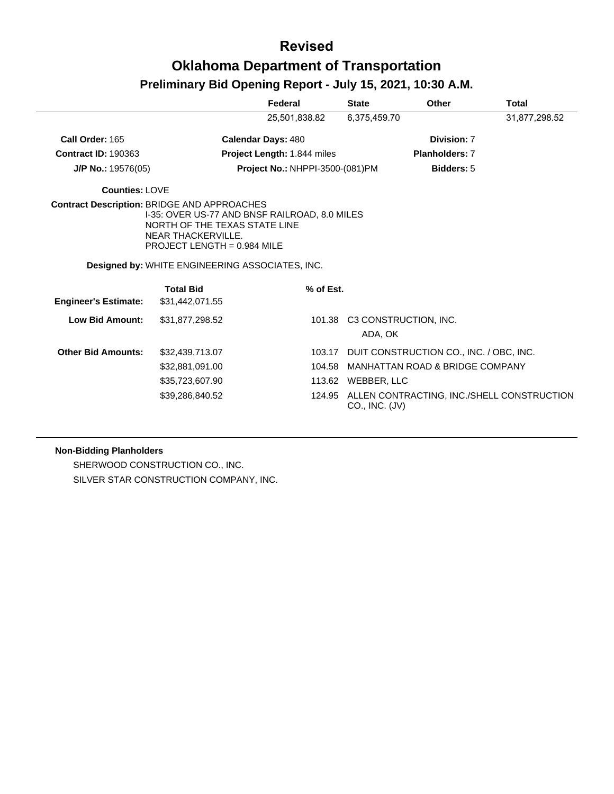|                             |                                                                                                                                                                                             | Federal                            | <b>State</b>       | Other                                             | Total         |
|-----------------------------|---------------------------------------------------------------------------------------------------------------------------------------------------------------------------------------------|------------------------------------|--------------------|---------------------------------------------------|---------------|
|                             |                                                                                                                                                                                             | 25,501,838.82                      | 6,375,459.70       |                                                   | 31,877,298.52 |
| Call Order: 165             |                                                                                                                                                                                             | <b>Calendar Days: 480</b>          |                    | Division: 7                                       |               |
| <b>Contract ID: 190363</b>  |                                                                                                                                                                                             | <b>Project Length: 1.844 miles</b> |                    | <b>Planholders: 7</b>                             |               |
| $J/P$ No.: 19576(05)        |                                                                                                                                                                                             | Project No.: NHPPI-3500-(081)PM    |                    | Bidders: 5                                        |               |
| Counties: LOVE              |                                                                                                                                                                                             |                                    |                    |                                                   |               |
|                             | <b>Contract Description: BRIDGE AND APPROACHES</b><br>I-35: OVER US-77 AND BNSF RAILROAD, 8.0 MILES<br>NORTH OF THE TEXAS STATE LINE<br>NEAR THACKERVILLE.<br>PROJECT LENGTH = $0.984$ MILE |                                    |                    |                                                   |               |
|                             | <b>Designed by: WHITE ENGINEERING ASSOCIATES, INC.</b>                                                                                                                                      |                                    |                    |                                                   |               |
| <b>Engineer's Estimate:</b> | <b>Total Bid</b><br>\$31,442,071.55                                                                                                                                                         | % of Est.                          |                    |                                                   |               |
| <b>Low Bid Amount:</b>      | \$31,877,298.52                                                                                                                                                                             |                                    | ADA, OK            | 101.38 C3 CONSTRUCTION, INC.                      |               |
| <b>Other Bid Amounts:</b>   | \$32,439,713.07                                                                                                                                                                             | 103.17                             |                    | DUIT CONSTRUCTION CO., INC. / OBC, INC.           |               |
|                             | \$32,881,091.00                                                                                                                                                                             | 104.58                             |                    | MANHATTAN ROAD & BRIDGE COMPANY                   |               |
|                             | \$35,723,607.90                                                                                                                                                                             |                                    | 113.62 WEBBER, LLC |                                                   |               |
|                             | \$39,286,840.52                                                                                                                                                                             |                                    | CO., INC. (JV)     | 124.95 ALLEN CONTRACTING, INC./SHELL CONSTRUCTION |               |

#### **Non-Bidding Planholders**

SHERWOOD CONSTRUCTION CO., INC. SILVER STAR CONSTRUCTION COMPANY, INC.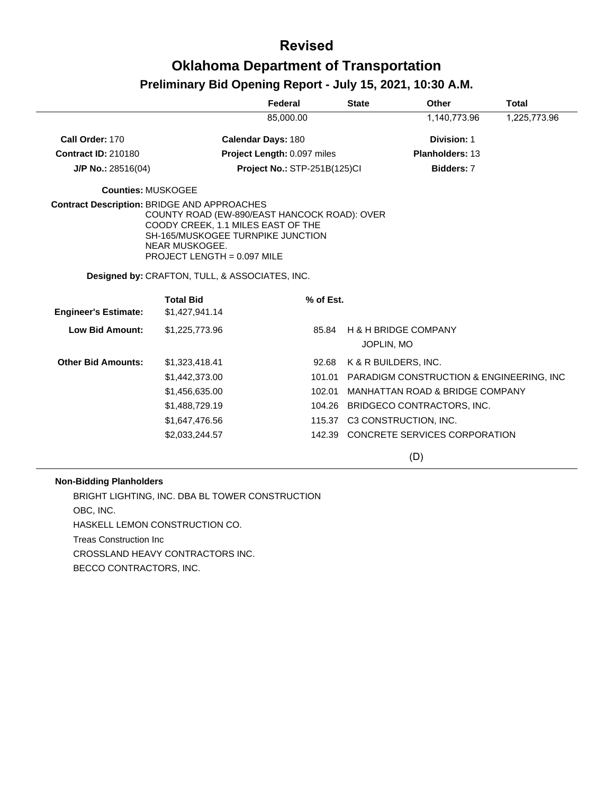|                                                    |                                                                                                                                                                          | Federal                      | <b>State</b> | Other                                     | <b>Total</b> |
|----------------------------------------------------|--------------------------------------------------------------------------------------------------------------------------------------------------------------------------|------------------------------|--------------|-------------------------------------------|--------------|
|                                                    |                                                                                                                                                                          | 85,000.00                    |              | 1,140,773.96                              | 1,225,773.96 |
| Call Order: 170                                    |                                                                                                                                                                          | <b>Calendar Days: 180</b>    |              | Division: 1                               |              |
| <b>Contract ID: 210180</b>                         |                                                                                                                                                                          | Project Length: 0.097 miles  |              | Planholders: 13                           |              |
| J/P No.: 28516(04)                                 |                                                                                                                                                                          | Project No.: STP-251B(125)Cl |              | Bidders: 7                                |              |
| <b>Counties: MUSKOGEE</b>                          |                                                                                                                                                                          |                              |              |                                           |              |
| <b>Contract Description: BRIDGE AND APPROACHES</b> | COUNTY ROAD (EW-890/EAST HANCOCK ROAD): OVER<br>COODY CREEK, 1.1 MILES EAST OF THE<br>SH-165/MUSKOGEE TURNPIKE JUNCTION<br>NEAR MUSKOGEE.<br>PROJECT LENGTH = 0.097 MILE |                              |              |                                           |              |
|                                                    | <b>Designed by: CRAFTON, TULL, &amp; ASSOCIATES, INC.</b>                                                                                                                |                              |              |                                           |              |
|                                                    | <b>Total Bid</b>                                                                                                                                                         | % of Est.                    |              |                                           |              |
| <b>Engineer's Estimate:</b>                        | \$1,427,941.14                                                                                                                                                           |                              |              |                                           |              |
| <b>Low Bid Amount:</b>                             | \$1,225,773.96                                                                                                                                                           | 85.84                        | JOPLIN, MO   | <b>H &amp; H BRIDGE COMPANY</b>           |              |
| <b>Other Bid Amounts:</b>                          |                                                                                                                                                                          |                              |              |                                           |              |
|                                                    | \$1,323,418.41                                                                                                                                                           | 92.68                        |              | K & R BUILDERS, INC.                      |              |
|                                                    | \$1,442,373.00                                                                                                                                                           | 101.01                       |              | PARADIGM CONSTRUCTION & ENGINEERING, INC. |              |
|                                                    | \$1,456,635.00                                                                                                                                                           | 102.01                       |              | MANHATTAN ROAD & BRIDGE COMPANY           |              |
|                                                    | \$1,488,729.19                                                                                                                                                           |                              |              | 104.26 BRIDGECO CONTRACTORS, INC.         |              |
|                                                    | \$1,647,476.56                                                                                                                                                           | 115.37                       |              | C3 CONSTRUCTION, INC.                     |              |
|                                                    | \$2,033,244.57                                                                                                                                                           |                              |              | 142.39 CONCRETE SERVICES CORPORATION      |              |
|                                                    |                                                                                                                                                                          |                              |              | (D)                                       |              |

#### **Non-Bidding Planholders**

BRIGHT LIGHTING, INC. DBA BL TOWER CONSTRUCTION OBC, INC. HASKELL LEMON CONSTRUCTION CO. Treas Construction Inc CROSSLAND HEAVY CONTRACTORS INC. BECCO CONTRACTORS, INC.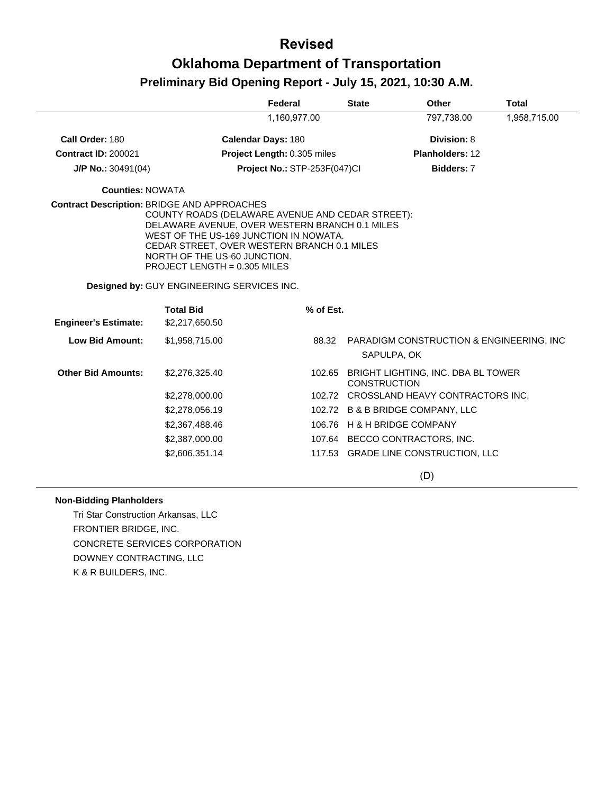|                             |                                                                                                                                                                                                                                                                                                                   | Federal                      | <b>State</b>                | Other                                     | <b>Total</b> |
|-----------------------------|-------------------------------------------------------------------------------------------------------------------------------------------------------------------------------------------------------------------------------------------------------------------------------------------------------------------|------------------------------|-----------------------------|-------------------------------------------|--------------|
|                             |                                                                                                                                                                                                                                                                                                                   | 1,160,977.00                 |                             | 797,738.00                                | 1,958,715.00 |
| Call Order: 180             |                                                                                                                                                                                                                                                                                                                   | <b>Calendar Days: 180</b>    |                             | <b>Division: 8</b>                        |              |
| <b>Contract ID: 200021</b>  |                                                                                                                                                                                                                                                                                                                   | Project Length: 0.305 miles  |                             | <b>Planholders: 12</b>                    |              |
| $J/P$ No.: 30491(04)        |                                                                                                                                                                                                                                                                                                                   | Project No.: STP-253F(047)Cl |                             | Bidders: 7                                |              |
| <b>Counties: NOWATA</b>     |                                                                                                                                                                                                                                                                                                                   |                              |                             |                                           |              |
|                             | <b>Contract Description: BRIDGE AND APPROACHES</b><br>COUNTY ROADS (DELAWARE AVENUE AND CEDAR STREET):<br>DELAWARE AVENUE, OVER WESTERN BRANCH 0.1 MILES<br>WEST OF THE US-169 JUNCTION IN NOWATA.<br>CEDAR STREET, OVER WESTERN BRANCH 0.1 MILES<br>NORTH OF THE US-60 JUNCTION.<br>PROJECT LENGTH = 0.305 MILES |                              |                             |                                           |              |
|                             | Designed by: GUY ENGINEERING SERVICES INC.                                                                                                                                                                                                                                                                        |                              |                             |                                           |              |
|                             | <b>Total Bid</b>                                                                                                                                                                                                                                                                                                  | % of Est.                    |                             |                                           |              |
| <b>Engineer's Estimate:</b> | \$2,217,650.50                                                                                                                                                                                                                                                                                                    |                              |                             |                                           |              |
| <b>Low Bid Amount:</b>      | \$1,958,715.00                                                                                                                                                                                                                                                                                                    | 88.32                        | SAPULPA, OK                 | PARADIGM CONSTRUCTION & ENGINEERING, INC. |              |
| <b>Other Bid Amounts:</b>   | \$2,276,325.40                                                                                                                                                                                                                                                                                                    |                              | <b>CONSTRUCTION</b>         | 102.65 BRIGHT LIGHTING, INC. DBA BL TOWER |              |
|                             | \$2,278,000.00                                                                                                                                                                                                                                                                                                    |                              |                             | 102.72 CROSSLAND HEAVY CONTRACTORS INC.   |              |
|                             | \$2,278,056.19                                                                                                                                                                                                                                                                                                    |                              |                             | 102.72 B & B BRIDGE COMPANY, LLC          |              |
|                             | \$2,367,488.46                                                                                                                                                                                                                                                                                                    |                              | 106.76 H & H BRIDGE COMPANY |                                           |              |
|                             | \$2,387,000.00                                                                                                                                                                                                                                                                                                    |                              |                             | 107.64 BECCO CONTRACTORS, INC.            |              |
|                             | \$2,606,351.14                                                                                                                                                                                                                                                                                                    |                              |                             | 117.53 GRADE LINE CONSTRUCTION, LLC       |              |
|                             |                                                                                                                                                                                                                                                                                                                   |                              |                             | (D)                                       |              |

#### **Non-Bidding Planholders**

Tri Star Construction Arkansas, LLC FRONTIER BRIDGE, INC. CONCRETE SERVICES CORPORATION DOWNEY CONTRACTING, LLC K & R BUILDERS, INC.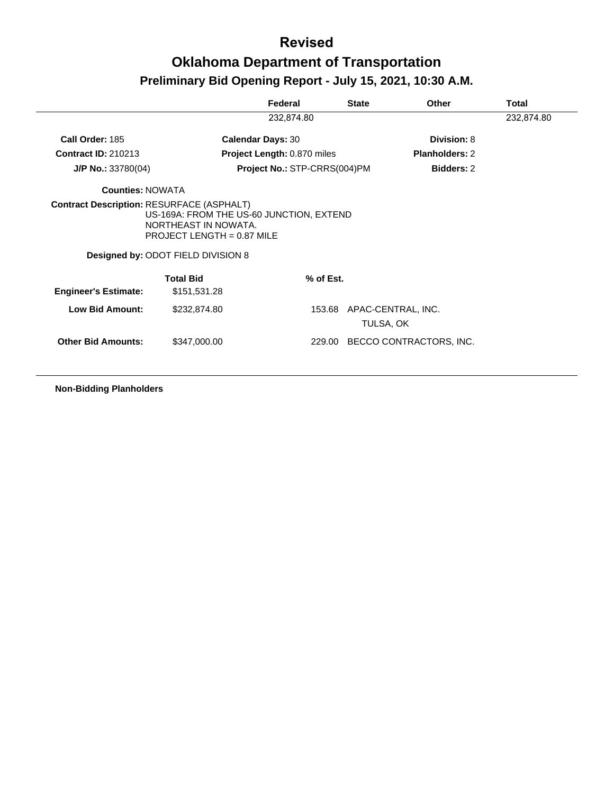|                             |                                                                                                                                               | Federal                      | <b>State</b> | Other                 | <b>Total</b> |
|-----------------------------|-----------------------------------------------------------------------------------------------------------------------------------------------|------------------------------|--------------|-----------------------|--------------|
|                             |                                                                                                                                               | 232,874.80                   |              |                       | 232,874.80   |
| Call Order: 185             |                                                                                                                                               | <b>Calendar Days: 30</b>     |              | Division: 8           |              |
| <b>Contract ID: 210213</b>  |                                                                                                                                               | Project Length: 0.870 miles  |              | <b>Planholders: 2</b> |              |
| $J/P$ No.: 33780(04)        |                                                                                                                                               | Project No.: STP-CRRS(004)PM |              | <b>Bidders: 2</b>     |              |
| <b>Counties: NOWATA</b>     |                                                                                                                                               |                              |              |                       |              |
|                             | US-169A: FROM THE US-60 JUNCTION, EXTEND<br>NORTHEAST IN NOWATA.<br>PROJECT LENGTH = $0.87$ MILE<br><b>Designed by: ODOT FIELD DIVISION 8</b> |                              |              |                       |              |
|                             | <b>Total Bid</b>                                                                                                                              | % of Est.                    |              |                       |              |
| <b>Engineer's Estimate:</b> | \$151,531.28                                                                                                                                  |                              |              |                       |              |
|                             |                                                                                                                                               |                              |              |                       |              |
| <b>Low Bid Amount:</b>      | \$232,874.80                                                                                                                                  | 153.68                       | TULSA, OK    | APAC-CENTRAL, INC.    |              |

**Non-Bidding Planholders**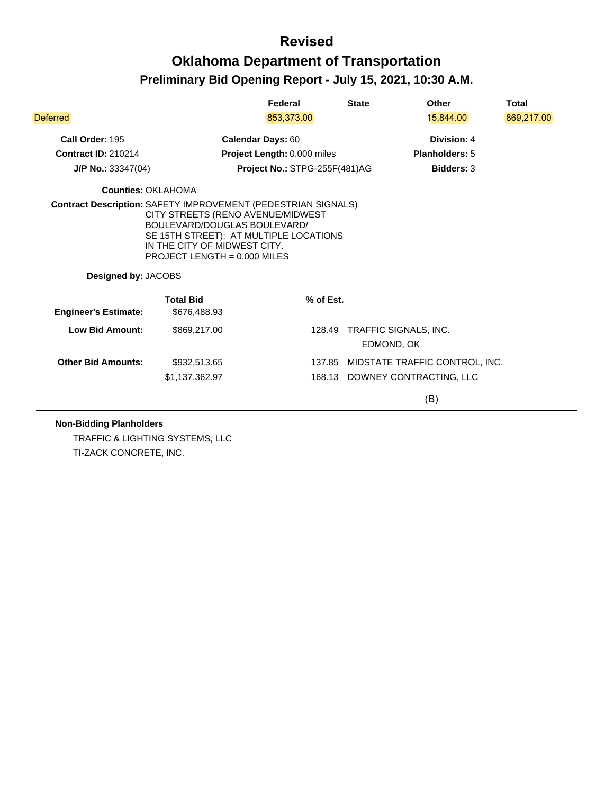|                             |                                                                | Federal                                                                                                     | <b>State</b> | Other                               | Total      |
|-----------------------------|----------------------------------------------------------------|-------------------------------------------------------------------------------------------------------------|--------------|-------------------------------------|------------|
| <b>Deferred</b>             |                                                                | 853,373.00                                                                                                  |              | 15,844.00                           | 869,217.00 |
| Call Order: 195             |                                                                | <b>Calendar Days: 60</b>                                                                                    |              | Division: 4                         |            |
| <b>Contract ID: 210214</b>  |                                                                | Project Length: 0.000 miles                                                                                 |              | Planholders: 5                      |            |
| $J/P$ No.: 33347(04)        |                                                                | Project No.: STPG-255F(481)AG                                                                               |              | <b>Bidders: 3</b>                   |            |
| <b>Counties: OKLAHOMA</b>   |                                                                |                                                                                                             |              |                                     |            |
| Designed by: JACOBS         | IN THE CITY OF MIDWEST CITY.<br>PROJECT LENGTH = $0.000$ MILES | CITY STREETS (RENO AVENUE/MIDWEST<br>BOULEVARD/DOUGLAS BOULEVARD/<br>SE 15TH STREET): AT MULTIPLE LOCATIONS |              |                                     |            |
|                             |                                                                |                                                                                                             |              |                                     |            |
| <b>Engineer's Estimate:</b> | <b>Total Bid</b><br>\$676,488.93                               | % of Est.                                                                                                   |              |                                     |            |
| <b>Low Bid Amount:</b>      | \$869,217.00                                                   | 128.49                                                                                                      |              | TRAFFIC SIGNALS, INC.<br>EDMOND, OK |            |
| <b>Other Bid Amounts:</b>   | \$932,513.65                                                   | 137.85                                                                                                      |              | MIDSTATE TRAFFIC CONTROL, INC.      |            |
|                             | \$1,137,362.97                                                 |                                                                                                             |              | 168.13 DOWNEY CONTRACTING, LLC      |            |
|                             |                                                                |                                                                                                             |              |                                     |            |

TRAFFIC & LIGHTING SYSTEMS, LLC TI-ZACK CONCRETE, INC.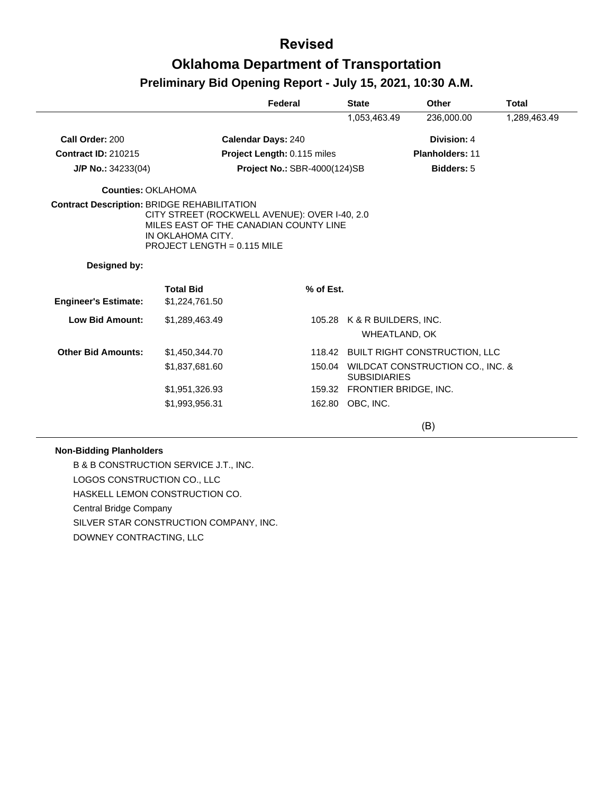### **Revised**

# **Oklahoma Department of Transportation**

### **Preliminary Bid Opening Report - July 15, 2021, 10:30 A.M.**

|                             |                                                                                                                                                                                                     | Federal                      | <b>State</b>                                 | Other                                | Total        |
|-----------------------------|-----------------------------------------------------------------------------------------------------------------------------------------------------------------------------------------------------|------------------------------|----------------------------------------------|--------------------------------------|--------------|
|                             |                                                                                                                                                                                                     |                              | 1,053,463.49                                 | 236,000.00                           | 1,289,463.49 |
| Call Order: 200             |                                                                                                                                                                                                     | <b>Calendar Days: 240</b>    |                                              | Division: 4                          |              |
| <b>Contract ID: 210215</b>  |                                                                                                                                                                                                     | Project Length: 0.115 miles  |                                              | <b>Planholders: 11</b>               |              |
| $J/P$ No.: 34233(04)        |                                                                                                                                                                                                     | Project No.: SBR-4000(124)SB |                                              | Bidders: 5                           |              |
| Counties: OKLAHOMA          |                                                                                                                                                                                                     |                              |                                              |                                      |              |
|                             | <b>Contract Description: BRIDGE REHABILITATION</b><br>CITY STREET (ROCKWELL AVENUE): OVER I-40, 2.0<br>MILES EAST OF THE CANADIAN COUNTY LINE<br>IN OKLAHOMA CITY.<br>PROJECT LENGTH = $0.115$ MILE |                              |                                              |                                      |              |
| Designed by:                |                                                                                                                                                                                                     |                              |                                              |                                      |              |
| <b>Engineer's Estimate:</b> | <b>Total Bid</b><br>\$1,224,761.50                                                                                                                                                                  | % of Est.                    |                                              |                                      |              |
| Low Bid Amount:             | \$1,289,463.49                                                                                                                                                                                      |                              | 105.28 K & R BUILDERS, INC.<br>WHEATLAND, OK |                                      |              |
| <b>Other Bid Amounts:</b>   | \$1,450,344.70                                                                                                                                                                                      |                              |                                              | 118.42 BUILT RIGHT CONSTRUCTION, LLC |              |
|                             | \$1,837,681.60                                                                                                                                                                                      | 150.04                       | <b>SUBSIDIARIES</b>                          | WILDCAT CONSTRUCTION CO., INC. &     |              |
|                             | \$1,951,326.93                                                                                                                                                                                      |                              | 159.32 FRONTIER BRIDGE, INC.                 |                                      |              |
|                             | \$1,993,956.31                                                                                                                                                                                      |                              | 162.80 OBC, INC.                             |                                      |              |
|                             |                                                                                                                                                                                                     |                              |                                              | (B)                                  |              |

#### **Non-Bidding Planholders**

B & B CONSTRUCTION SERVICE J.T., INC. LOGOS CONSTRUCTION CO., LLC HASKELL LEMON CONSTRUCTION CO. Central Bridge Company SILVER STAR CONSTRUCTION COMPANY, INC. DOWNEY CONTRACTING, LLC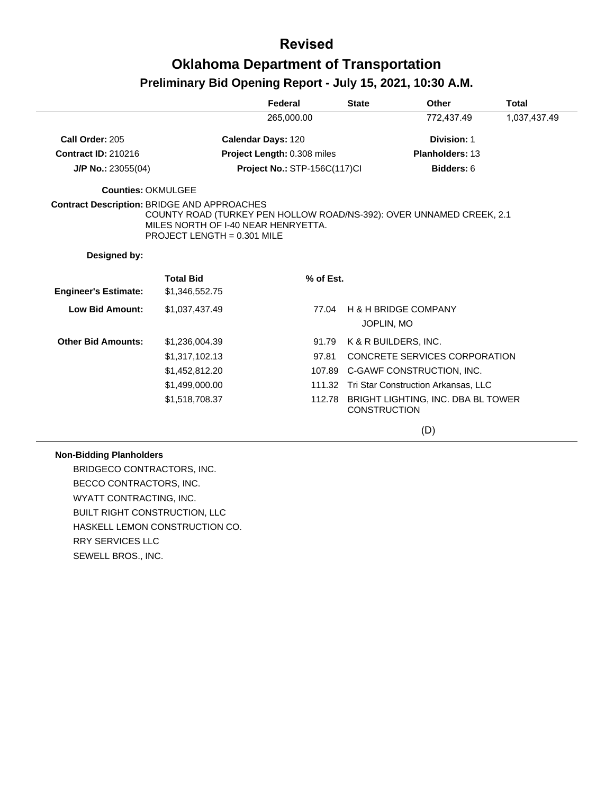### **Revised**

# **Oklahoma Department of Transportation**

### **Preliminary Bid Opening Report - July 15, 2021, 10:30 A.M.**

|                                                    |                                                                                                                                              | Federal                      | <b>State</b>        | Other                                      | <b>Total</b> |
|----------------------------------------------------|----------------------------------------------------------------------------------------------------------------------------------------------|------------------------------|---------------------|--------------------------------------------|--------------|
|                                                    |                                                                                                                                              | 265,000.00                   |                     | 772,437.49                                 | 1,037,437.49 |
| Call Order: 205                                    |                                                                                                                                              | <b>Calendar Days: 120</b>    |                     | Division: 1                                |              |
| <b>Contract ID: 210216</b>                         |                                                                                                                                              | Project Length: 0.308 miles  |                     | <b>Planholders: 13</b>                     |              |
| $J/P$ No.: 23055(04)                               |                                                                                                                                              | Project No.: STP-156C(117)Cl |                     | Bidders: 6                                 |              |
| <b>Counties: OKMULGEE</b>                          |                                                                                                                                              |                              |                     |                                            |              |
| <b>Contract Description: BRIDGE AND APPROACHES</b> | COUNTY ROAD (TURKEY PEN HOLLOW ROAD/NS-392): OVER UNNAMED CREEK, 2.1<br>MILES NORTH OF I-40 NEAR HENRYETTA.<br>PROJECT LENGTH = $0.301$ MILE |                              |                     |                                            |              |
| Designed by:                                       |                                                                                                                                              |                              |                     |                                            |              |
| <b>Engineer's Estimate:</b>                        | <b>Total Bid</b><br>\$1,346,552.75                                                                                                           | % of Est.                    |                     |                                            |              |
| <b>Low Bid Amount:</b>                             | \$1,037,437.49                                                                                                                               | 77.04                        | JOPLIN, MO          | <b>H &amp; H BRIDGE COMPANY</b>            |              |
| <b>Other Bid Amounts:</b>                          | \$1,236,004.39                                                                                                                               | 91.79                        |                     | K & R BUILDERS, INC.                       |              |
|                                                    | \$1,317,102.13                                                                                                                               | 97.81                        |                     | <b>CONCRETE SERVICES CORPORATION</b>       |              |
|                                                    | \$1,452,812.20                                                                                                                               |                              |                     | 107.89 C-GAWF CONSTRUCTION, INC.           |              |
|                                                    | \$1,499,000.00                                                                                                                               |                              |                     | 111.32 Tri Star Construction Arkansas, LLC |              |
|                                                    | \$1,518,708.37                                                                                                                               | 112.78                       | <b>CONSTRUCTION</b> | BRIGHT LIGHTING, INC. DBA BL TOWER         |              |

(D)

#### **Non-Bidding Planholders**

BRIDGECO CONTRACTORS, INC. BECCO CONTRACTORS, INC. WYATT CONTRACTING, INC. BUILT RIGHT CONSTRUCTION, LLC HASKELL LEMON CONSTRUCTION CO. RRY SERVICES LLC SEWELL BROS., INC.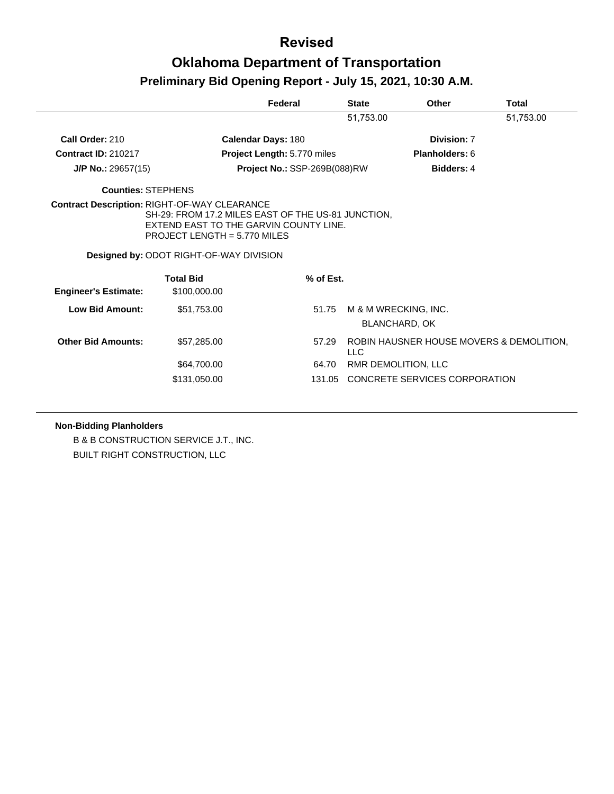|                             |                                                                                                                                                                                             | Federal                      |           | <b>State</b> | Other                                        | Total                                    |
|-----------------------------|---------------------------------------------------------------------------------------------------------------------------------------------------------------------------------------------|------------------------------|-----------|--------------|----------------------------------------------|------------------------------------------|
|                             |                                                                                                                                                                                             |                              |           | 51,753.00    |                                              | 51,753.00                                |
| Call Order: 210             |                                                                                                                                                                                             | <b>Calendar Days: 180</b>    |           |              | Division: 7                                  |                                          |
| <b>Contract ID: 210217</b>  |                                                                                                                                                                                             | Project Length: 5.770 miles  |           |              | Planholders: 6                               |                                          |
| $J/P$ No.: 29657(15)        |                                                                                                                                                                                             | Project No.: SSP-269B(088)RW |           |              | <b>Bidders: 4</b>                            |                                          |
| <b>Counties: STEPHENS</b>   |                                                                                                                                                                                             |                              |           |              |                                              |                                          |
|                             | SH-29: FROM 17.2 MILES EAST OF THE US-81 JUNCTION,<br>EXTEND EAST TO THE GARVIN COUNTY LINE.<br>PROJECT LENGTH = 5.770 MILES<br>Designed by: ODOT RIGHT-OF-WAY DIVISION<br><b>Total Bid</b> |                              | % of Est. |              |                                              |                                          |
| <b>Engineer's Estimate:</b> | \$100,000.00                                                                                                                                                                                |                              |           |              |                                              |                                          |
| Low Bid Amount:             | \$51,753.00                                                                                                                                                                                 |                              | 51.75     |              | M & M WRECKING, INC.<br><b>BLANCHARD, OK</b> |                                          |
| <b>Other Bid Amounts:</b>   | \$57,285.00                                                                                                                                                                                 |                              | 57.29     | <b>LLC</b>   |                                              | ROBIN HAUSNER HOUSE MOVERS & DEMOLITION. |
|                             | \$64,700.00                                                                                                                                                                                 |                              | 64.70     |              | RMR DEMOLITION, LLC                          |                                          |
|                             | \$131,050.00                                                                                                                                                                                |                              |           |              | 131.05 CONCRETE SERVICES CORPORATION         |                                          |

**Non-Bidding Planholders**

B & B CONSTRUCTION SERVICE J.T., INC. BUILT RIGHT CONSTRUCTION, LLC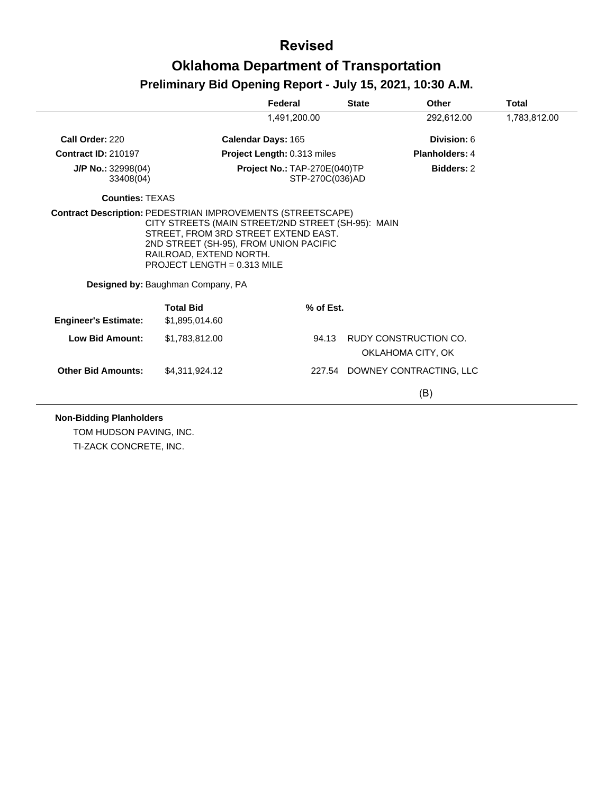|                                   |                                                                                                                                         | Federal                                            | <b>State</b> | Other                          | <b>Total</b> |
|-----------------------------------|-----------------------------------------------------------------------------------------------------------------------------------------|----------------------------------------------------|--------------|--------------------------------|--------------|
|                                   |                                                                                                                                         | 1,491,200.00                                       |              | 292,612.00                     | 1,783,812.00 |
| Call Order: 220                   |                                                                                                                                         | Calendar Days: 165                                 |              | Division: 6                    |              |
| <b>Contract ID: 210197</b>        |                                                                                                                                         | Project Length: 0.313 miles                        |              | <b>Planholders: 4</b>          |              |
| $J/P$ No.: 32998(04)<br>33408(04) |                                                                                                                                         | Project No.: TAP-270E(040)TP<br>STP-270C(036)AD    |              | <b>Bidders: 2</b>              |              |
| <b>Counties: TEXAS</b>            |                                                                                                                                         |                                                    |              |                                |              |
|                                   | STREET. FROM 3RD STREET EXTEND EAST.                                                                                                    | CITY STREETS (MAIN STREET/2ND STREET (SH-95): MAIN |              |                                |              |
|                                   | 2ND STREET (SH-95), FROM UNION PACIFIC<br>RAILROAD, EXTEND NORTH.<br>PROJECT LENGTH = $0.313$ MILE<br>Designed by: Baughman Company, PA |                                                    |              |                                |              |
|                                   | <b>Total Bid</b>                                                                                                                        | % of Est.                                          |              |                                |              |
| <b>Engineer's Estimate:</b>       | \$1,895,014.60                                                                                                                          |                                                    |              |                                |              |
| <b>Low Bid Amount:</b>            | \$1,783,812.00                                                                                                                          | 94.13                                              |              | RUDY CONSTRUCTION CO.          |              |
|                                   |                                                                                                                                         |                                                    |              | OKLAHOMA CITY, OK              |              |
| <b>Other Bid Amounts:</b>         | \$4,311,924.12                                                                                                                          |                                                    |              | 227.54 DOWNEY CONTRACTING, LLC |              |

TOM HUDSON PAVING, INC. TI-ZACK CONCRETE, INC.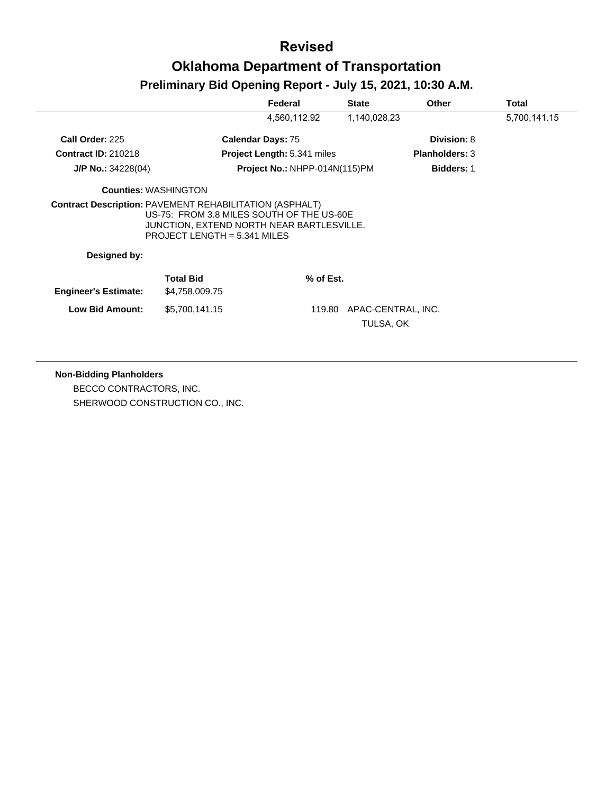|                                                                |                                                                                                                          | Federal                       | <b>State</b>                    | Other                 | <b>Total</b> |
|----------------------------------------------------------------|--------------------------------------------------------------------------------------------------------------------------|-------------------------------|---------------------------------|-----------------------|--------------|
|                                                                |                                                                                                                          | 4,560,112.92                  | 1,140,028.23                    |                       | 5,700,141.15 |
| Call Order: 225                                                |                                                                                                                          | <b>Calendar Days: 75</b>      |                                 | Division: 8           |              |
| <b>Contract ID: 210218</b>                                     |                                                                                                                          | Project Length: 5.341 miles   |                                 | <b>Planholders: 3</b> |              |
| $J/P$ No.: 34228(04)                                           |                                                                                                                          | Project No.: NHPP-014N(115)PM |                                 | <b>Bidders: 1</b>     |              |
|                                                                | <b>Counties: WASHINGTON</b>                                                                                              |                               |                                 |                       |              |
| <b>Contract Description: PAVEMENT REHABILITATION (ASPHALT)</b> | US-75: FROM 3.8 MILES SOUTH OF THE US-60E<br>JUNCTION, EXTEND NORTH NEAR BARTLESVILLE.<br>PROJECT LENGTH = $5.341$ MILES |                               |                                 |                       |              |
| Designed by:                                                   |                                                                                                                          |                               |                                 |                       |              |
| <b>Engineer's Estimate:</b>                                    | <b>Total Bid</b><br>\$4,758,009.75                                                                                       | % of Est.                     |                                 |                       |              |
| Low Bid Amount:                                                | \$5,700,141.15                                                                                                           | 119.80                        | APAC-CENTRAL, INC.<br>TULSA, OK |                       |              |

#### **Non-Bidding Planholders**

BECCO CONTRACTORS, INC. SHERWOOD CONSTRUCTION CO., INC.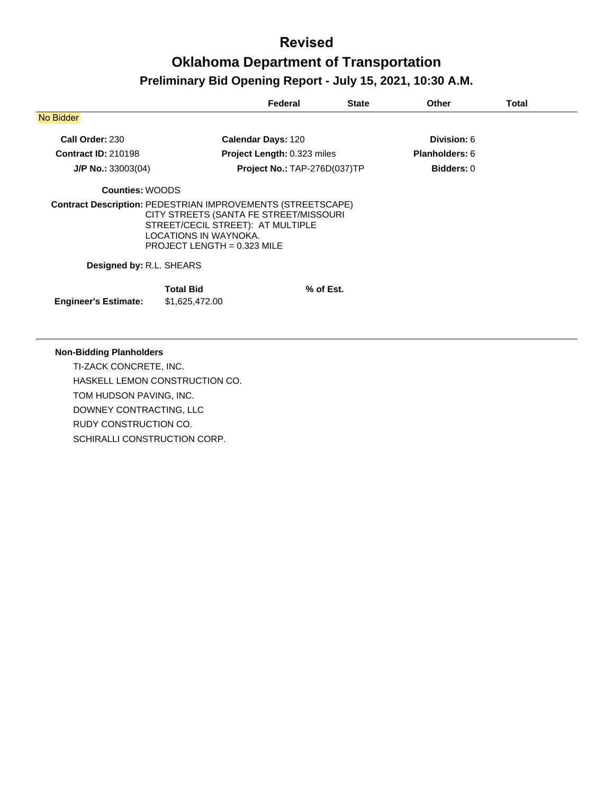|                                                                    |                                                                                                                                     | Federal                             | <b>State</b> | <b>Other</b>      | Total |
|--------------------------------------------------------------------|-------------------------------------------------------------------------------------------------------------------------------------|-------------------------------------|--------------|-------------------|-------|
| No Bidder                                                          |                                                                                                                                     |                                     |              |                   |       |
| Call Order: 230                                                    |                                                                                                                                     | <b>Calendar Days: 120</b>           |              | Division: 6       |       |
| <b>Contract ID: 210198</b>                                         |                                                                                                                                     | <b>Project Length: 0.323 miles</b>  |              | Planholders: 6    |       |
| $J/P$ No.: 33003(04)                                               |                                                                                                                                     | <b>Project No.: TAP-276D(037)TP</b> |              | <b>Bidders: 0</b> |       |
| <b>Counties: WOODS</b>                                             |                                                                                                                                     |                                     |              |                   |       |
| <b>Contract Description: PEDESTRIAN IMPROVEMENTS (STREETSCAPE)</b> | CITY STREETS (SANTA FE STREET/MISSOURI<br>STREET/CECIL STREET): AT MULTIPLE<br>LOCATIONS IN WAYNOKA.<br>PROJECT LENGTH = 0.323 MILE |                                     |              |                   |       |
| Designed by: R.L. SHEARS                                           |                                                                                                                                     |                                     |              |                   |       |
| <b>Engineer's Estimate:</b>                                        | <b>Total Bid</b><br>\$1,625,472.00                                                                                                  |                                     | % of Est.    |                   |       |

#### **Non-Bidding Planholders**

TI-ZACK CONCRETE, INC. HASKELL LEMON CONSTRUCTION CO. TOM HUDSON PAVING, INC. DOWNEY CONTRACTING, LLC RUDY CONSTRUCTION CO. SCHIRALLI CONSTRUCTION CORP.